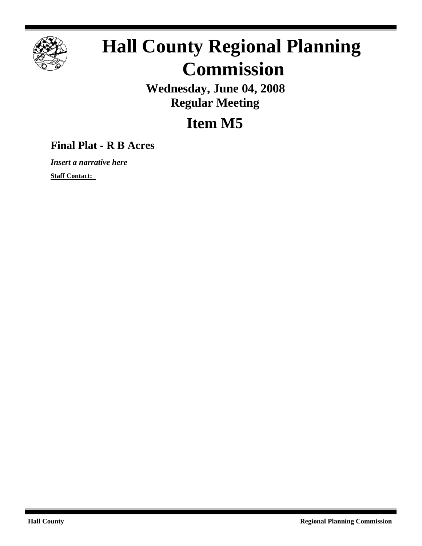

# **Hall County Regional Planning Commission**

**Wednesday, June 04, 2008 Regular Meeting**

## **Item M5**

### **Final Plat - R B Acres**

*Insert a narrative here*

**Staff Contact:**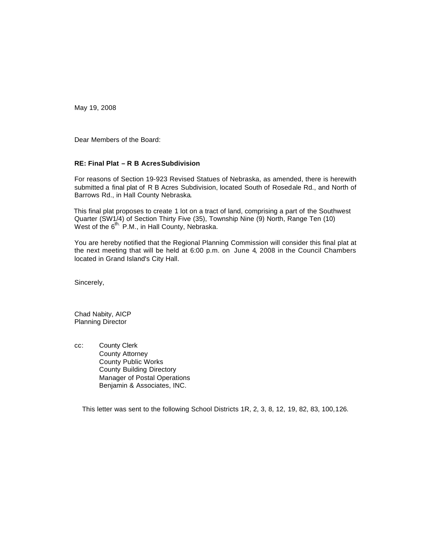May 19, 2008

Dear Members of the Board:

#### **RE: Final Plat – R B Acres Subdivision**

For reasons of Section 19-923 Revised Statues of Nebraska, as amended, there is herewith submitted a final plat of R B Acres Subdivision, located South of Rosedale Rd., and North of Barrows Rd., in Hall County Nebraska.

 This final plat proposes to create 1 lot on a tract of land, comprising a part of the Southwest Quarter (SW1/4) of Section Thirty Five (35), Township Nine (9) North, Range Ten (10) West of the 6<sup>th.</sup> P.M., in Hall County, Nebraska.

You are hereby notified that the Regional Planning Commission will consider this final plat at the next meeting that will be held at 6:00 p.m. on June 4, 2008 in the Council Chambers located in Grand Island's City Hall.

Sincerely,

Chad Nabity, AICP Planning Director

cc: County Clerk County Attorney County Public Works County Building Directory Manager of Postal Operations Benjamin & Associates, INC.

This letter was sent to the following School Districts 1R, 2, 3, 8, 12, 19, 82, 83, 100,126.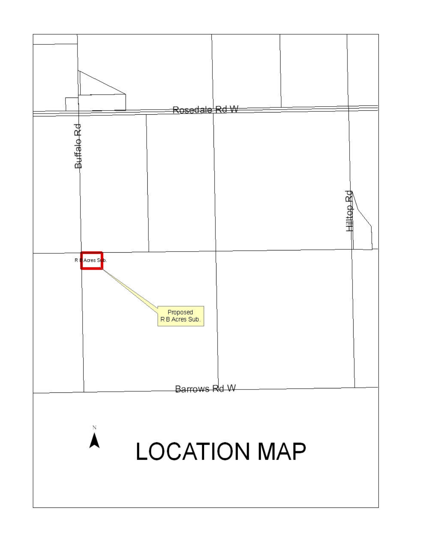